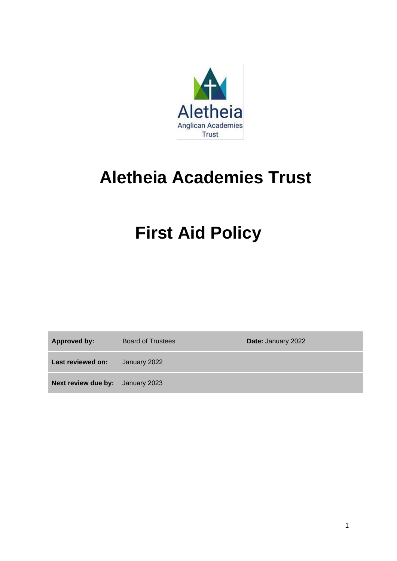

# **Aletheia Academies Trust**

# **First Aid Policy**

**Approved by:** Board of Trustees **Date:** January 2022

**Last reviewed on:** January 2022

**Next review due by:** January 2023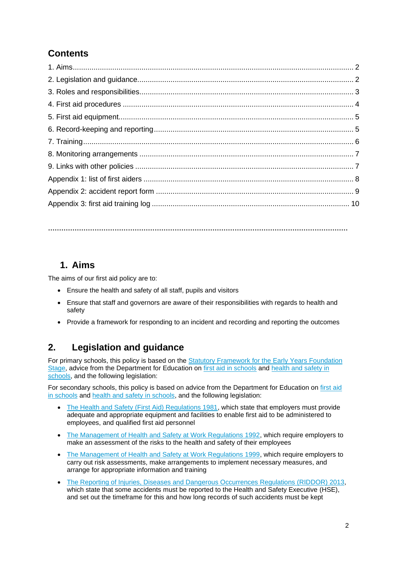## **Contents**

**………………………………………………………………………………………………………………………**

## **1. Aims**

The aims of our first aid policy are to:

- Ensure the health and safety of all staff, pupils and visitors
- Ensure that staff and governors are aware of their responsibilities with regards to health and safety
- Provide a framework for responding to an incident and recording and reporting the outcomes

## **2. Legislation and guidance**

For primary schools, this policy is based on the [Statutory Framework for the Early Years Foundation](https://www.gov.uk/government/uploads/system/uploads/attachment_data/file/596629/EYFS_STATUTORY_FRAMEWORK_2017.pdf)  [Stage,](https://www.gov.uk/government/uploads/system/uploads/attachment_data/file/596629/EYFS_STATUTORY_FRAMEWORK_2017.pdf) advice from the Department for Education on [first aid in schools](https://www.gov.uk/government/publications/first-aid-in-schools) and [health and safety in](https://www.gov.uk/government/publications/health-and-safety-advice-for-schools)  [schools,](https://www.gov.uk/government/publications/health-and-safety-advice-for-schools) and the following legislation:

For secondary schools, this policy is based on advice from the Department for Education on first aid [in schools](https://www.gov.uk/government/publications/first-aid-in-schools) and [health and safety](https://www.gov.uk/government/publications/health-and-safety-advice-for-schools) in schools, and the following legislation:

- [The Health and Safety \(First Aid\) Regulations 1981,](http://www.legislation.gov.uk/uksi/1981/917/regulation/3/made) which state that employers must provide adequate and appropriate equipment and facilities to enable first aid to be administered to employees, and qualified first aid personnel
- [The Management of Health and Safety at Work Regulations 1992,](http://www.legislation.gov.uk/uksi/1992/2051/regulation/3/made) which require employers to make an assessment of the risks to the health and safety of their employees
- [The Management of Health and Safety at Work Regulations 1999,](http://www.legislation.gov.uk/uksi/1999/3242/contents/made) which require employers to carry out risk assessments, make arrangements to implement necessary measures, and arrange for appropriate information and training
- [The Reporting of Injuries, Diseases and Dangerous Occurrences Regulations](http://www.legislation.gov.uk/uksi/2013/1471/schedule/1/paragraph/1/made) (RIDDOR) 2013, which state that some accidents must be reported to the Health and Safety Executive (HSE), and set out the timeframe for this and how long records of such accidents must be kept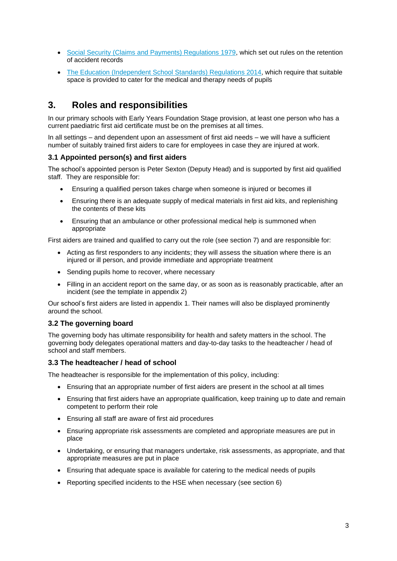- [Social Security \(Claims and Payments\) Regulations 1979,](http://www.legislation.gov.uk/uksi/1979/628) which set out rules on the retention of accident records
- The Education [\(Independent School Standards\) Regulations 2014,](http://www.legislation.gov.uk/uksi/2014/3283/schedule/made) which require that suitable space is provided to cater for the medical and therapy needs of pupils

## **3. Roles and responsibilities**

In our primary schools with Early Years Foundation Stage provision, at least one person who has a current paediatric first aid certificate must be on the premises at all times.

In all settings – and dependent upon an assessment of first aid needs – we will have a sufficient number of suitably trained first aiders to care for employees in case they are injured at work.

#### **3.1 Appointed person(s) and first aiders**

The school's appointed person is Peter Sexton (Deputy Head) and is supported by first aid qualified staff. They are responsible for:

- Ensuring a qualified person takes charge when someone is injured or becomes ill
- Ensuring there is an adequate supply of medical materials in first aid kits, and replenishing the contents of these kits
- Ensuring that an ambulance or other professional medical help is summoned when appropriate

First aiders are trained and qualified to carry out the role (see section 7) and are responsible for:

- Acting as first responders to any incidents; they will assess the situation where there is an injured or ill person, and provide immediate and appropriate treatment
- Sending pupils home to recover, where necessary
- Filling in an accident report on the same day, or as soon as is reasonably practicable, after an incident (see the template in appendix 2)

Our school's first aiders are listed in appendix 1. Their names will also be displayed prominently around the school.

#### **3.2 The governing board**

The governing body has ultimate responsibility for health and safety matters in the school. The governing body delegates operational matters and day-to-day tasks to the headteacher / head of school and staff members.

#### **3.3 The headteacher / head of school**

The headteacher is responsible for the implementation of this policy, including:

- Ensuring that an appropriate number of first aiders are present in the school at all times
- Ensuring that first aiders have an appropriate qualification, keep training up to date and remain competent to perform their role
- Ensuring all staff are aware of first aid procedures
- Ensuring appropriate risk assessments are completed and appropriate measures are put in place
- Undertaking, or ensuring that managers undertake, risk assessments, as appropriate, and that appropriate measures are put in place
- Ensuring that adequate space is available for catering to the medical needs of pupils
- Reporting specified incidents to the HSE when necessary (see section 6)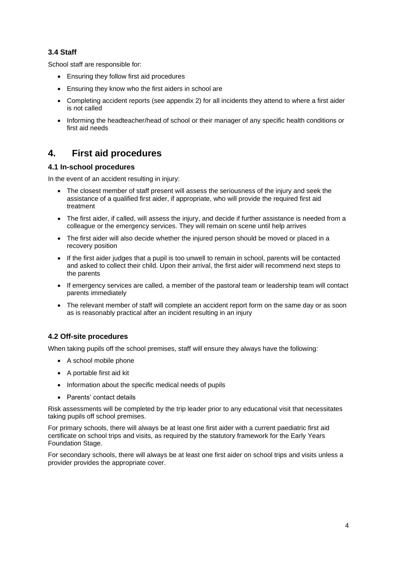#### **3.4 Staff**

School staff are responsible for:

- Ensuring they follow first aid procedures
- Ensuring they know who the first aiders in school are
- Completing accident reports (see appendix 2) for all incidents they attend to where a first aider is not called
- Informing the headteacher/head of school or their manager of any specific health conditions or first aid needs

## **4. First aid procedures**

#### **4.1 In-school procedures**

In the event of an accident resulting in injury:

- The closest member of staff present will assess the seriousness of the injury and seek the assistance of a qualified first aider, if appropriate, who will provide the required first aid treatment
- The first aider, if called, will assess the injury, and decide if further assistance is needed from a colleague or the emergency services. They will remain on scene until help arrives
- The first aider will also decide whether the injured person should be moved or placed in a recovery position
- If the first aider judges that a pupil is too unwell to remain in school, parents will be contacted and asked to collect their child. Upon their arrival, the first aider will recommend next steps to the parents
- If emergency services are called, a member of the pastoral team or leadership team will contact parents immediately
- The relevant member of staff will complete an accident report form on the same day or as soon as is reasonably practical after an incident resulting in an injury

### **4.2 Off-site procedures**

When taking pupils off the school premises, staff will ensure they always have the following:

- A school mobile phone
- A portable first aid kit
- Information about the specific medical needs of pupils
- Parents' contact details

Risk assessments will be completed by the trip leader prior to any educational visit that necessitates taking pupils off school premises.

For primary schools, there will always be at least one first aider with a current paediatric first aid certificate on school trips and visits, as required by the statutory framework for the Early Years Foundation Stage.

For secondary schools, there will always be at least one first aider on school trips and visits unless a provider provides the appropriate cover.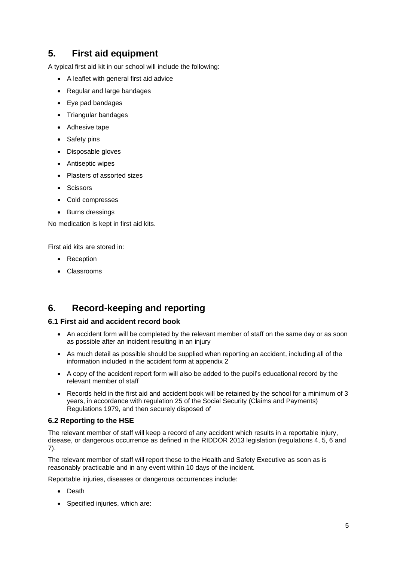## **5. First aid equipment**

A typical first aid kit in our school will include the following:

- A leaflet with general first aid advice
- Regular and large bandages
- Eye pad bandages
- Triangular bandages
- Adhesive tape
- Safety pins
- Disposable gloves
- Antiseptic wipes
- Plasters of assorted sizes
- **Scissors**
- Cold compresses
- Burns dressings

No medication is kept in first aid kits.

First aid kits are stored in:

- Reception
- Classrooms

## **6. Record-keeping and reporting**

#### **6.1 First aid and accident record book**

- An accident form will be completed by the relevant member of staff on the same day or as soon as possible after an incident resulting in an injury
- As much detail as possible should be supplied when reporting an accident, including all of the information included in the accident form at appendix 2
- A copy of the accident report form will also be added to the pupil's educational record by the relevant member of staff
- Records held in the first aid and accident book will be retained by the school for a minimum of 3 years, in accordance with regulation 25 of the Social Security (Claims and Payments) Regulations 1979, and then securely disposed of

#### **6.2 Reporting to the HSE**

The relevant member of staff will keep a record of any accident which results in a reportable injury, disease, or dangerous occurrence as defined in the RIDDOR 2013 legislation (regulations 4, 5, 6 and 7).

The relevant member of staff will report these to the Health and Safety Executive as soon as is reasonably practicable and in any event within 10 days of the incident.

Reportable injuries, diseases or dangerous occurrences include:

- Death
- Specified injuries, which are: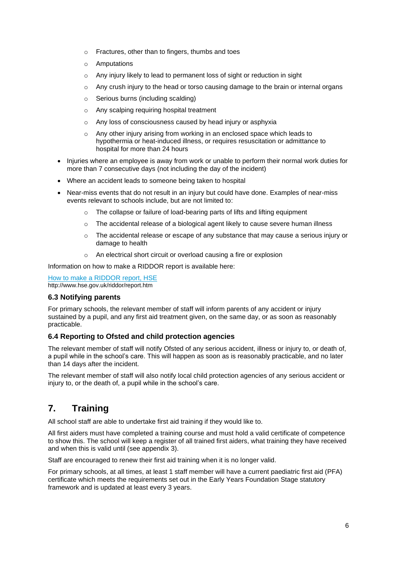- o Fractures, other than to fingers, thumbs and toes
- o Amputations
- o Any injury likely to lead to permanent loss of sight or reduction in sight
- $\circ$  Any crush injury to the head or torso causing damage to the brain or internal organs
- o Serious burns (including scalding)
- o Any scalping requiring hospital treatment
- o Any loss of consciousness caused by head injury or asphyxia
- o Any other injury arising from working in an enclosed space which leads to hypothermia or heat-induced illness, or requires resuscitation or admittance to hospital for more than 24 hours
- Injuries where an employee is away from work or unable to perform their normal work duties for more than 7 consecutive days (not including the day of the incident)
- Where an accident leads to someone being taken to hospital
- Near-miss events that do not result in an injury but could have done. Examples of near-miss events relevant to schools include, but are not limited to:
	- $\circ$  The collapse or failure of load-bearing parts of lifts and lifting equipment
	- $\circ$  The accidental release of a biological agent likely to cause severe human illness
	- $\circ$  The accidental release or escape of any substance that may cause a serious injury or damage to health
	- o An electrical short circuit or overload causing a fire or explosion

Information on how to make a RIDDOR report is available here:

[How to make a RIDDOR report, HSE](http://www.hse.gov.uk/riddor/report.htm) http://www.hse.gov.uk/riddor/report.htm

#### **6.3 Notifying parents**

For primary schools, the relevant member of staff will inform parents of any accident or injury sustained by a pupil, and any first aid treatment given, on the same day, or as soon as reasonably practicable.

#### **6.4 Reporting to Ofsted and child protection agencies**

The relevant member of staff will notify Ofsted of any serious accident, illness or injury to, or death of, a pupil while in the school's care. This will happen as soon as is reasonably practicable, and no later than 14 days after the incident.

The relevant member of staff will also notify local child protection agencies of any serious accident or injury to, or the death of, a pupil while in the school's care.

## **7. Training**

All school staff are able to undertake first aid training if they would like to.

All first aiders must have completed a training course and must hold a valid certificate of competence to show this. The school will keep a register of all trained first aiders, what training they have received and when this is valid until (see appendix 3).

Staff are encouraged to renew their first aid training when it is no longer valid.

For primary schools, at all times, at least 1 staff member will have a current paediatric first aid (PFA) certificate which meets the requirements set out in the Early Years Foundation Stage statutory framework and is updated at least every 3 years.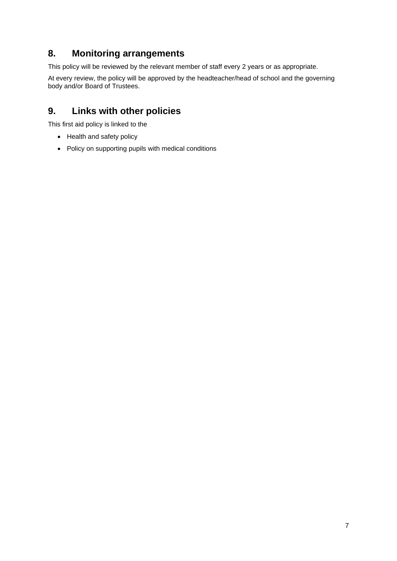### **8. Monitoring arrangements**

This policy will be reviewed by the relevant member of staff every 2 years or as appropriate.

At every review, the policy will be approved by the headteacher/head of school and the governing body and/or Board of Trustees.

## **9. Links with other policies**

This first aid policy is linked to the

- Health and safety policy
- Policy on supporting pupils with medical conditions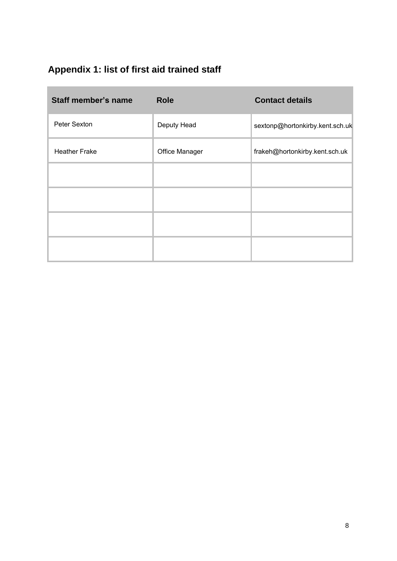# **Appendix 1: list of first aid trained staff**

n.

| <b>Staff member's name</b> | <b>Role</b>    | <b>Contact details</b>          |
|----------------------------|----------------|---------------------------------|
| Peter Sexton               | Deputy Head    | sextonp@hortonkirby.kent.sch.uk |
| <b>Heather Frake</b>       | Office Manager | frakeh@hortonkirby.kent.sch.uk  |
|                            |                |                                 |
|                            |                |                                 |
|                            |                |                                 |
|                            |                |                                 |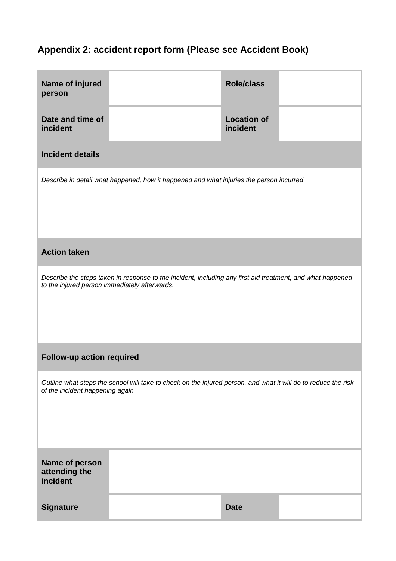# **Appendix 2: accident report form (Please see Accident Book)**

| Name of injured<br>person                                                                                                                                   |  | <b>Role/class</b>              |  |  |  |
|-------------------------------------------------------------------------------------------------------------------------------------------------------------|--|--------------------------------|--|--|--|
| Date and time of<br>incident                                                                                                                                |  | <b>Location of</b><br>incident |  |  |  |
| <b>Incident details</b>                                                                                                                                     |  |                                |  |  |  |
| Describe in detail what happened, how it happened and what injuries the person incurred                                                                     |  |                                |  |  |  |
| <b>Action taken</b>                                                                                                                                         |  |                                |  |  |  |
| Describe the steps taken in response to the incident, including any first aid treatment, and what happened<br>to the injured person immediately afterwards. |  |                                |  |  |  |
| Follow-up action required                                                                                                                                   |  |                                |  |  |  |
| Outline what steps the school will take to check on the injured person, and what it will do to reduce the risk<br>of the incident happening again           |  |                                |  |  |  |
| Name of person<br>attending the<br>incident                                                                                                                 |  |                                |  |  |  |
| <b>Signature</b>                                                                                                                                            |  | <b>Date</b>                    |  |  |  |